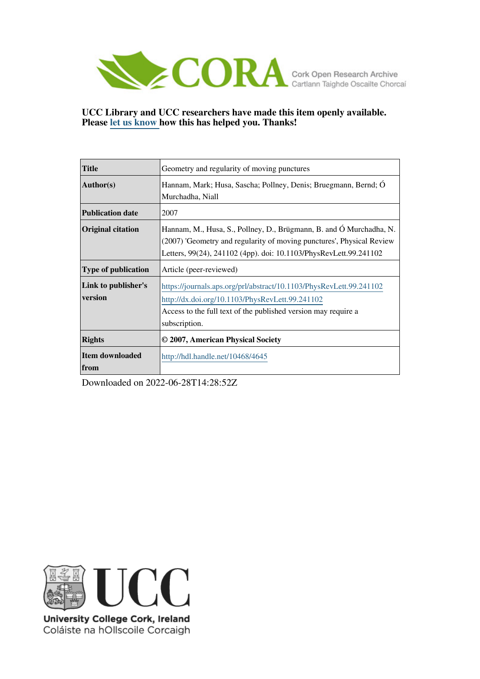

## **UCC Library and UCC researchers have made this item openly available. Please [let us know h](https://libguides.ucc.ie/openaccess/impact?suffix=4645&title=Geometry and regularity of moving punctures)ow this has helped you. Thanks!**

| <b>Title</b>             | Geometry and regularity of moving punctures                           |
|--------------------------|-----------------------------------------------------------------------|
| Author(s)                | Hannam, Mark; Husa, Sascha; Pollney, Denis; Bruegmann, Bernd; O       |
|                          | Murchadha, Niall                                                      |
| <b>Publication date</b>  | 2007                                                                  |
| <b>Original citation</b> | Hannam, M., Husa, S., Pollney, D., Brügmann, B. and Ó Murchadha, N.   |
|                          | (2007) 'Geometry and regularity of moving punctures', Physical Review |
|                          | Letters, 99(24), 241102 (4pp). doi: 10.1103/PhysRevLett.99.241102     |
| Type of publication      | Article (peer-reviewed)                                               |
| Link to publisher's      | https://journals.aps.org/prl/abstract/10.1103/PhysRevLett.99.241102   |
| version                  | http://dx.doi.org/10.1103/PhysRevLett.99.241102                       |
|                          | Access to the full text of the published version may require a        |
|                          | subscription.                                                         |
| <b>Rights</b>            | © 2007, American Physical Society                                     |
| Item downloaded          | http://hdl.handle.net/10468/4645                                      |
| <b>from</b>              |                                                                       |

Downloaded on 2022-06-28T14:28:52Z



University College Cork, Ireland Coláiste na hOllscoile Corcaigh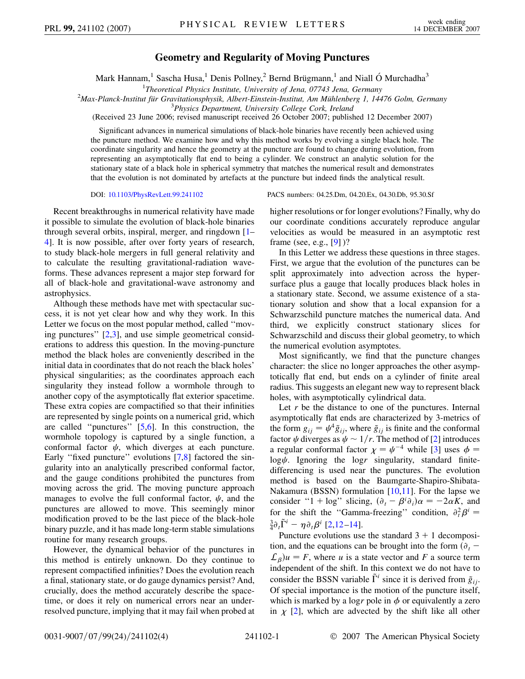## **Geometry and Regularity of Moving Punctures**

Mark Hannam,<sup>1</sup> Sascha Husa,<sup>1</sup> Denis Pollney,<sup>2</sup> Bernd Brügmann,<sup>1</sup> and Niall Ó Murchadha<sup>3</sup>

<sup>1</sup>Theoretical Physics Institute, University of Jena, 07743 Jena, Germany *Theoretical Physics Institute, University of Jena, 07743 Jena, Germany* <sup>2</sup>

*Max-Planck-Institut für Gravitationsphysik, Albert-Einstein-Institut, Am Mühlenberg 1, 14476 Golm, Germany*<br><sup>3</sup> Physics Department, University College Cork, Ireland

(Received 23 June 2006; revised manuscript received 26 October 2007; published 12 December 2007)

Significant advances in numerical simulations of black-hole binaries have recently been achieved using the puncture method. We examine how and why this method works by evolving a single black hole. The coordinate singularity and hence the geometry at the puncture are found to change during evolution, from representing an asymptotically flat end to being a cylinder. We construct an analytic solution for the stationary state of a black hole in spherical symmetry that matches the numerical result and demonstrates that the evolution is not dominated by artefacts at the puncture but indeed finds the analytical result.

Recent breakthroughs in numerical relativity have made it possible to simulate the evolution of black-hole binaries through several orbits, inspiral, merger, and ringdown [[1–](#page-4-0) [4](#page-4-1)]. It is now possible, after over forty years of research, to study black-hole mergers in full general relativity and to calculate the resulting gravitational-radiation waveforms. These advances represent a major step forward for all of black-hole and gravitational-wave astronomy and astrophysics.

Although these methods have met with spectacular success, it is not yet clear how and why they work. In this Letter we focus on the most popular method, called ''moving punctures'' [[2](#page-4-2),[3\]](#page-4-3), and use simple geometrical considerations to address this question. In the moving-puncture method the black holes are conveniently described in the initial data in coordinates that do not reach the black holes' physical singularities; as the coordinates approach each singularity they instead follow a wormhole through to another copy of the asymptotically flat exterior spacetime. These extra copies are compactified so that their infinities are represented by single points on a numerical grid, which are called ''punctures'' [[5](#page-4-4),[6\]](#page-4-5). In this construction, the wormhole topology is captured by a single function, a conformal factor  $\psi$ , which diverges at each puncture. Early "fixed puncture" evolutions  $[7,8]$  $[7,8]$  $[7,8]$  factored the singularity into an analytically prescribed conformal factor, and the gauge conditions prohibited the punctures from moving across the grid. The moving puncture approach manages to evolve the full conformal factor,  $\psi$ , and the punctures are allowed to move. This seemingly minor modification proved to be the last piece of the black-hole binary puzzle, and it has made long-term stable simulations routine for many research groups.

However, the dynamical behavior of the punctures in this method is entirely unknown. Do they continue to represent compactified infinities? Does the evolution reach a final, stationary state, or do gauge dynamics persist? And, crucially, does the method accurately describe the spacetime, or does it rely on numerical errors near an underresolved puncture, implying that it may fail when probed at

DOI: [10.1103/PhysRevLett.99.241102](http://dx.doi.org/10.1103/PhysRevLett.99.241102) PACS numbers: 04.25.Dm, 04.20.Ex, 04.30.Db, 95.30.Sf

higher resolutions or for longer evolutions? Finally, why do our coordinate conditions accurately reproduce angular velocities as would be measured in an asymptotic rest frame (see, e.g., [\[9\]](#page-4-8) )?

In this Letter we address these questions in three stages. First, we argue that the evolution of the punctures can be split approximately into advection across the hypersurface plus a gauge that locally produces black holes in a stationary state. Second, we assume existence of a stationary solution and show that a local expansion for a Schwarzschild puncture matches the numerical data. And third, we explicitly construct stationary slices for Schwarzschild and discuss their global geometry, to which the numerical evolution asymptotes.

Most significantly, we find that the puncture changes character: the slice no longer approaches the other asymptotically flat end, but ends on a cylinder of finite areal radius. This suggests an elegant new way to represent black holes, with asymptotically cylindrical data.

Let *r* be the distance to one of the punctures. Internal asymptotically flat ends are characterized by 3-metrics of the form  $g_{ij} = \psi^4 \tilde{g}_{ij}$ , where  $\tilde{g}_{ij}$  is finite and the conformal factor  $\psi$  diverges as  $\psi \sim 1/r$ . The method of [[2\]](#page-4-2) introduces a regular conformal factor  $\chi = \psi^{-4}$  while [[3](#page-4-3)] uses  $\phi =$  $log \psi$ . Ignoring the  $log r$  singularity, standard finitedifferencing is used near the punctures. The evolution method is based on the Baumgarte-Shapiro-Shibata-Nakamura (BSSN) formulation  $[10,11]$  $[10,11]$ . For the lapse we consider "1 + log" slicing,  $(\partial_t - \beta^i \partial_i)\alpha = -2\alpha K$ , and for the shift the "Gamma-freezing" condition,  $\partial_t^2 \beta^i =$  $\frac{3}{4}\partial_t\tilde{\Gamma}^i - \eta \partial_t\beta^i$  [[2](#page-4-2)[,12](#page-4-11)[–14\]](#page-4-12).

Puncture evolutions use the standard  $3 + 1$  decomposition, and the equations can be brought into the form  $(\partial_t$  –  $\mathcal{L}_{\beta}$ ) $u = F$ , where *u* is a state vector and *F* a source term independent of the shift. In this context we do not have to consider the BSSN variable  $\tilde{\Gamma}^i$  since it is derived from  $\tilde{g}_{ij}$ . Of special importance is the motion of the puncture itself, which is marked by a logr pole in  $\phi$  or equivalently a zero in  $\chi$  [[2\]](#page-4-2), which are advected by the shift like all other

*Physics Department, University College Cork, Ireland*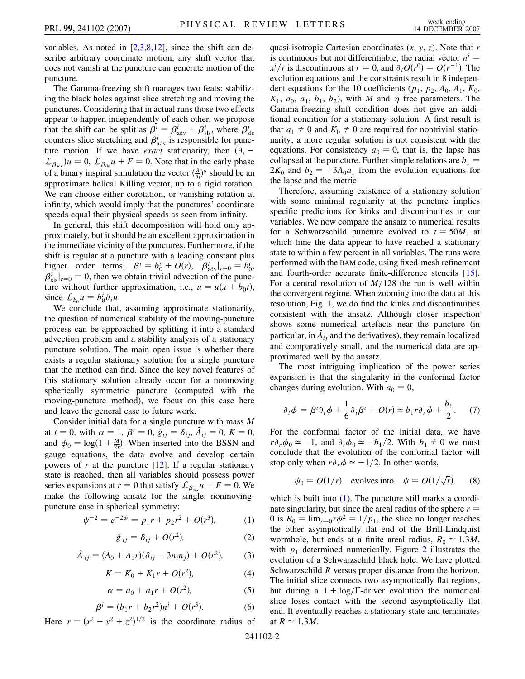variables. As noted in  $[2,3,8,12]$  $[2,3,8,12]$  $[2,3,8,12]$  $[2,3,8,12]$  $[2,3,8,12]$  $[2,3,8,12]$  $[2,3,8,12]$ , since the shift can describe arbitrary coordinate motion, any shift vector that does not vanish at the puncture can generate motion of the puncture.

The Gamma-freezing shift manages two feats: stabilizing the black holes against slice stretching and moving the punctures. Considering that in actual runs those two effects appear to happen independently of each other, we propose that the shift can be split as  $\beta^i = \beta^i_{\text{adv}} + \beta^i_{\text{sls}}$ , where  $\beta^i_{\text{sls}}$  counters slice stretching and  $\beta^i_{\text{adv}}$  is responsible for puncture motion. If we have *exact* stationarity, then  $(\partial_t$  $\mathcal{L}_{\beta_{\text{adv}}}$ ) $u = 0$ ,  $\mathcal{L}_{\beta_{\text{sl}}u} + F = 0$ . Note that in the early phase of a binary inspiral simulation the vector  $\left(\frac{\partial}{\partial t}\right)^a$  should be an approximate helical Killing vector, up to a rigid rotation. We can choose either corotation, or vanishing rotation at infinity, which would imply that the punctures' coordinate speeds equal their physical speeds as seen from infinity.

In general, this shift decomposition will hold only approximately, but it should be an excellent approximation in the immediate vicinity of the punctures. Furthermore, if the shift is regular at a puncture with a leading constant plus higher order terms,  $\beta^i = b_0^i + O(r)$ ,  $\beta^i_{\text{adv}}|_{r=0} = b_0^i$ ,  $\beta_{\rm sls}^i|_{r=0} = 0$ , then we obtain trivial advection of the puncture without further approximation, i.e.,  $u = u(x + b_0 t)$ , since  $\mathcal{L}_{b_0} u = b_0^i \partial_i u$ .

We conclude that, assuming approximate stationarity, the question of numerical stability of the moving-puncture process can be approached by splitting it into a standard advection problem and a stability analysis of a stationary puncture solution. The main open issue is whether there exists a regular stationary solution for a single puncture that the method can find. Since the key novel features of this stationary solution already occur for a nonmoving spherically symmetric puncture (computed with the moving-puncture method), we focus on this case here and leave the general case to future work.

Consider initial data for a single puncture with mass *M* at  $t = 0$ , with  $\alpha = 1$ ,  $\beta^{i} = 0$ ,  $\tilde{g}_{ij} = \delta_{ij}$ ,  $\tilde{A}_{ij} = 0$ ,  $K = 0$ , and  $\phi_0 = \log(1 + \frac{M}{2r})$ . When inserted into the BSSN and gauge equations, the data evolve and develop certain powers of  $r$  at the puncture  $[12]$ . If a regular stationary state is reached, then all variables should possess power series expansions at  $r = 0$  that satisfy  $\mathcal{L}_{\beta_{s}} u + F = 0$ . We make the following ansatz for the single, nonmovingpuncture case in spherical symmetry:

$$
\psi^{-2} = e^{-2\phi} = p_1 r + p_2 r^2 + O(r^3),\tag{1}
$$

$$
\tilde{g}_{ij} = \delta_{ij} + O(r^2),\tag{2}
$$

$$
\tilde{A}_{ij} = (A_0 + A_1 r)(\delta_{ij} - 3n_i n_j) + O(r^2),
$$
 (3)

$$
K = K_0 + K_1 r + O(r^2), \tag{4}
$$

$$
\alpha = a_0 + a_1 r + O(r^2),
$$
 (5)

$$
\beta^{i} = (b_1r + b_2r^2)n^{i} + O(r^3).
$$
 (6)

<span id="page-2-0"></span>Here  $r = (x^2 + y^2 + z^2)^{1/2}$  is the coordinate radius of

quasi-isotropic Cartesian coordinates (*x*, *y*, *z*). Note that *r* is continuous but not differentiable, the radial vector  $n^i$  $x^{i}/r$  is discontinuous at  $r = 0$ , and  $\partial_{i}O(r^{0}) = O(r^{-1})$ . The evolution equations and the constraints result in 8 independent equations for the 10 coefficients ( $p_1$ ,  $p_2$ ,  $A_0$ ,  $A_1$ ,  $K_0$ ,  $K_1$ ,  $a_0$ ,  $a_1$ ,  $b_1$ ,  $b_2$ ), with *M* and  $\eta$  free parameters. The Gamma-freezing shift condition does not give an additional condition for a stationary solution. A first result is that  $a_1 \neq 0$  and  $K_0 \neq 0$  are required for nontrivial stationarity; a more regular solution is not consistent with the equations. For consistency  $a_0 = 0$ , that is, the lapse has collapsed at the puncture. Further simple relations are  $b_1 =$  $2K_0$  and  $b_2 = -3A_0a_1$  from the evolution equations for the lapse and the metric.

Therefore, assuming existence of a stationary solution with some minimal regularity at the puncture implies specific predictions for kinks and discontinuities in our variables. We now compare the ansatz to numerical results for a Schwarzschild puncture evolved to  $t = 50M$ , at which time the data appear to have reached a stationary state to within a few percent in all variables. The runs were performed with the BAM code, using fixed-mesh refinement and fourth-order accurate finite-difference stencils [[15\]](#page-4-13). For a central resolution of  $M/128$  the run is well within the convergent regime. When zooming into the data at this resolution, Fig. [1,](#page-3-0) we do find the kinks and discontinuities consistent with the ansatz. Although closer inspection shows some numerical artefacts near the puncture (in particular, in  $\tilde{A}_{ij}$  and the derivatives), they remain localized and comparatively small, and the numerical data are approximated well by the ansatz.

The most intriguing implication of the power series expansion is that the singularity in the conformal factor changes during evolution. With  $a_0 = 0$ ,

$$
\partial_t \phi = \beta^i \partial_i \phi + \frac{1}{6} \partial_i \beta^i + O(r) \simeq b_1 r \partial_r \phi + \frac{b_1}{2}.
$$
 (7)

For the conformal factor of the initial data, we have  $r \partial_r \phi_0 \simeq -1$ , and  $\partial_t \phi_0 \simeq -b_1/2$ . With  $b_1 \neq 0$  we must conclude that the evolution of the conformal factor will stop only when  $r \partial_r \phi \simeq -1/2$ . In other words,

$$
\psi_0 = O(1/r)
$$
 evolves into  $\psi = O(1/\sqrt{r})$ , (8)

which is built into ([1\)](#page-2-0). The puncture still marks a coordinate singularity, but since the areal radius of the sphere *r* 0 is  $R_0 = \lim_{r \to 0} r \psi^2 = 1/p_1$ , the slice no longer reaches the other asymptotically flat end of the Brill-Lindquist wormhole, but ends at a finite areal radius,  $R_0 \approx 1.3M$ , with  $p_1$  determined numerically. Figure [2](#page-3-1) illustrates the evolution of a Schwarzschild black hole. We have plotted Schwarzschild *R* versus proper distance from the horizon. The initial slice connects two asymptotically flat regions, but during a  $1 + \log/\Gamma$ -driver evolution the numerical slice loses contact with the second asymptotically flat end. It eventually reaches a stationary state and terminates at  $R \approx 1.3M$ .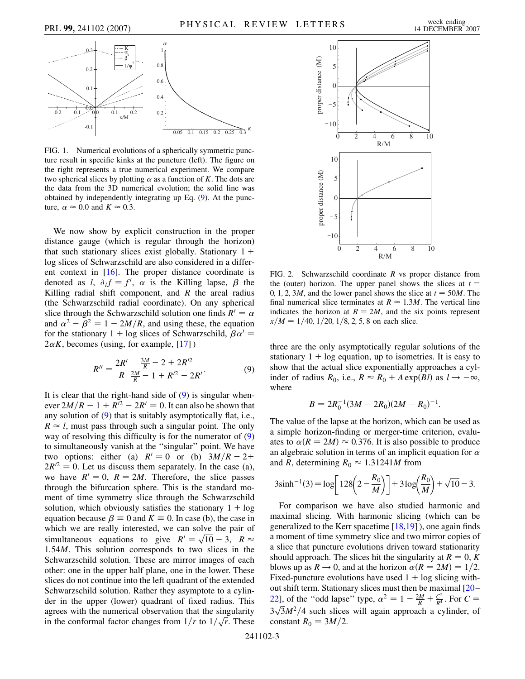<span id="page-3-0"></span>

FIG. 1. Numerical evolutions of a spherically symmetric puncture result in specific kinks at the puncture (left). The figure on the right represents a true numerical experiment. We compare two spherical slices by plotting  $\alpha$  as a function of *K*. The dots are the data from the 3D numerical evolution; the solid line was obtained by independently integrating up Eq. [\(9](#page-3-2)). At the puncture,  $\alpha \approx 0.0$  and  $K \approx 0.3$ .

We now show by explicit construction in the proper distance gauge (which is regular through the horizon) that such stationary slices exist globally. Stationary  $1 +$ log slices of Schwarzschild are also considered in a different context in [[16](#page-4-14)]. The proper distance coordinate is denoted as *l*,  $\partial_l f = f'$ ,  $\alpha$  is the Killing lapse,  $\beta$  the Killing radial shift component, and *R* the areal radius (the Schwarzschild radial coordinate). On any spherical slice through the Schwarzschild solution one finds  $R' = \alpha$ and  $\alpha^2 - \beta^2 = 1 - 2M/R$ , and using these, the equation for the stationary 1 + log slices of Schwarzschild,  $\beta \alpha'$  =  $2\alpha K$ , becomes (using, for example, [\[17\]](#page-4-15))

$$
R'' = \frac{2R'}{R} \frac{\frac{3M}{R} - 2 + 2R'^2}{\frac{2M}{R} - 1 + R'^2 - 2R'}.
$$
 (9)

<span id="page-3-2"></span>It is clear that the right-hand side of  $(9)$  $(9)$  is singular whenever  $2M/R - 1 + R^2 - 2R' = 0$ . It can also be shown that any solution of ([9\)](#page-3-2) that is suitably asymptotically flat, i.e.,  $R \approx l$ , must pass through such a singular point. The only way of resolving this difficulty is for the numerator of [\(9\)](#page-3-2) to simultaneously vanish at the ''singular'' point. We have two options: either (a)  $R' = 0$  or (b)  $3M/R - 2+$  $2R^{2} = 0$ . Let us discuss them separately. In the case (a), we have  $R' = 0$ ,  $R = 2M$ . Therefore, the slice passes through the bifurcation sphere. This is the standard moment of time symmetry slice through the Schwarzschild solution, which obviously satisfies the stationary  $1 + \log$ equation because  $\beta = 0$  and  $K = 0$ . In case (b), the case in which we are really interested, we can solve the pair of which we are really interested, we can solve the pair of simultaneous equations to give  $R' = \sqrt{10} - 3$ ,  $R \approx$ 1*:*54*M*. This solution corresponds to two slices in the Schwarzschild solution. These are mirror images of each other: one in the upper half plane, one in the lower. These slices do not continue into the left quadrant of the extended Schwarzschild solution. Rather they asymptote to a cylinder in the upper (lower) quadrant of fixed radius. This agrees with the numerical observation that the singularity in the conformal factor changes from  $1/r$  to  $1/\sqrt{r}$ . These

<span id="page-3-1"></span>

FIG. 2. Schwarzschild coordinate *R* vs proper distance from the (outer) horizon. The upper panel shows the slices at  $t =$ 0, 1, 2, 3*M*, and the lower panel shows the slice at  $t = 50M$ . The final numerical slice terminates at  $R \approx 1.3M$ . The vertical line indicates the horizon at  $R = 2M$ , and the six points represent  $x/M = 1/40$ ,  $1/20$ ,  $1/8$ , 2, 5, 8 on each slice.

three are the only asymptotically regular solutions of the stationary  $1 + \log$  equation, up to isometries. It is easy to show that the actual slice exponentially approaches a cylinder of radius  $R_0$ , i.e.,  $R \approx R_0 + A \exp(Bl)$  as  $l \to -\infty$ , where

$$
B = 2R_0^{-1}(3M - 2R_0)(2M - R_0)^{-1}.
$$

The value of the lapse at the horizon, which can be used as a simple horizon-finding or merger-time criterion, evaluates to  $\alpha(R = 2M) \approx 0.376$ . It is also possible to produce an algebraic solution in terms of an implicit equation for  $\alpha$ and *R*, determining  $R_0 \approx 1.31241M$  from

$$
3\sinh^{-1}(3) = \log \left[ 128 \left( 2 - \frac{R_0}{M} \right) \right] + 3\log \left( \frac{R_0}{M} \right) + \sqrt{10} - 3.
$$

For comparison we have also studied harmonic and maximal slicing. With harmonic slicing (which can be generalized to the Kerr spacetime  $[18,19]$  $[18,19]$ ), one again finds a moment of time symmetry slice and two mirror copies of a slice that puncture evolutions driven toward stationarity should approach. The slices hit the singularity at  $R = 0, K$ blows up as  $R \to 0$ , and at the horizon  $\alpha(R = 2M) = 1/2$ . Fixed-puncture evolutions have used  $1 + \log$  slicing without shift term. Stationary slices must then be maximal [\[20](#page-4-18)– [22](#page-4-19)], of the "odd lapse" type,  $\alpha^2 = 1 - \frac{2M}{R} + \frac{C^2}{R^4}$ . For  $C =$  $\frac{3\sqrt{3}M^2}{4}$  such slices will again approach a cylinder, of constant  $R_0 = 3M/2$ .